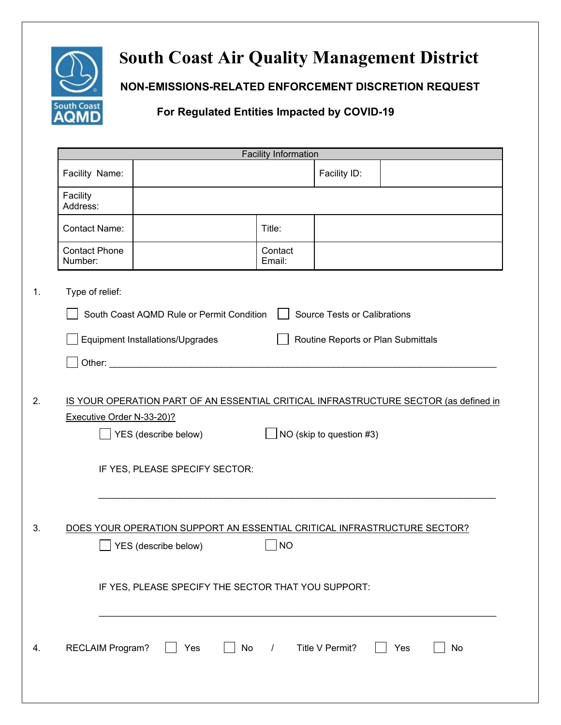

## **South Coast Air Quality Management District**

 **NON-EMISSIONS-RELATED ENFORCEMENT DISCRETION REQUEST** 

## **For Regulated Entities Impacted by COVID-19**

|          | <b>Facility Information</b>                                                                                                                                                                                                    |                                                                                                  |                   |                                     |     |    |
|----------|--------------------------------------------------------------------------------------------------------------------------------------------------------------------------------------------------------------------------------|--------------------------------------------------------------------------------------------------|-------------------|-------------------------------------|-----|----|
|          | Facility Name:                                                                                                                                                                                                                 |                                                                                                  |                   | Facility ID:                        |     |    |
| Facility | Address:                                                                                                                                                                                                                       |                                                                                                  |                   |                                     |     |    |
|          | <b>Contact Name:</b>                                                                                                                                                                                                           |                                                                                                  | Title:            |                                     |     |    |
|          | <b>Contact Phone</b><br>Number:                                                                                                                                                                                                |                                                                                                  | Contact<br>Email: |                                     |     |    |
|          | Type of relief:                                                                                                                                                                                                                |                                                                                                  |                   |                                     |     |    |
|          |                                                                                                                                                                                                                                | South Coast AQMD Rule or Permit Condition                                                        |                   | <b>Source Tests or Calibrations</b> |     |    |
|          |                                                                                                                                                                                                                                | Equipment Installations/Upgrades                                                                 |                   | Routine Reports or Plan Submittals  |     |    |
|          | Other: and the state of the state of the state of the state of the state of the state of the state of the state of the state of the state of the state of the state of the state of the state of the state of the state of the |                                                                                                  |                   |                                     |     |    |
|          |                                                                                                                                                                                                                                | YES (describe below)<br>IF YES, PLEASE SPECIFY SECTOR:                                           |                   | NO (skip to question #3)            |     |    |
|          |                                                                                                                                                                                                                                | DOES YOUR OPERATION SUPPORT AN ESSENTIAL CRITICAL INFRASTRUCTURE SECTOR?<br>YES (describe below) | <b>NO</b>         |                                     |     |    |
|          |                                                                                                                                                                                                                                | IF YES, PLEASE SPECIFY THE SECTOR THAT YOU SUPPORT:                                              |                   |                                     |     |    |
|          | <b>RECLAIM Program?</b>                                                                                                                                                                                                        | No<br>Yes                                                                                        | / Title V Permit? |                                     | Yes | No |
|          |                                                                                                                                                                                                                                |                                                                                                  |                   |                                     |     |    |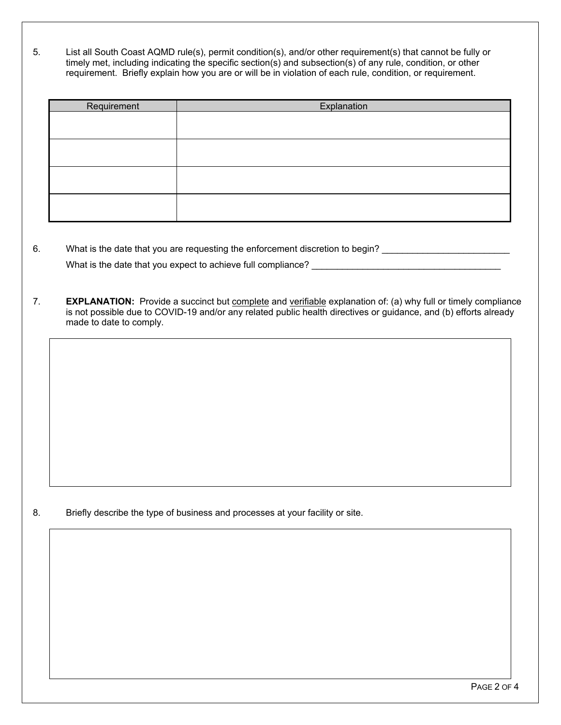5. List all South Coast AQMD rule(s), permit condition(s), and/or other requirement(s) that cannot be fully or timely met, including indicating the specific section(s) and subsection(s) of any rule, condition, or other requirement. Briefly explain how you are or will be in violation of each rule, condition, or requirement.

| Requirement | Explanation |
|-------------|-------------|
|             |             |
|             |             |
|             |             |
|             |             |
|             |             |
|             |             |
|             |             |
|             |             |

- 6. What is the date that you are requesting the enforcement discretion to begin? \_\_\_\_\_\_\_\_\_\_\_\_\_\_\_\_\_\_\_\_\_\_\_\_\_\_\_\_\_ What is the date that you expect to achieve full compliance? **We are all assets the contract of the set of the set of the set of the set of the set of the set of the set of the set of the set of the set of the set of the s**
- 7. **EXPLANATION:** Provide a succinct but complete and verifiable explanation of: (a) why full or timely compliance is not possible due to COVID-19 and/or any related public health directives or guidance, and (b) efforts already made to date to comply.

8. Briefly describe the type of business and processes at your facility or site.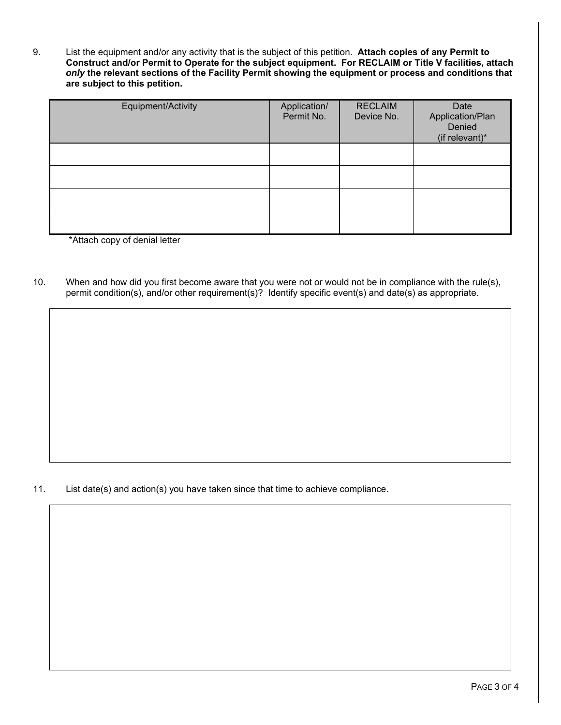9. List the equipment and/or any activity that is the subject of this petition. **Attach copies of any Permit to Construct and/or Permit to Operate for the subject equipment. For RECLAIM or Title V facilities, attach** *only* **the relevant sections of the Facility Permit showing the equipment or process and conditions that are subject to this petition.**

| Equipment/Activity | Application/<br>Permit No. | <b>RECLAIM</b><br>Device No. | Date<br>Application/Plan<br>Denied<br>(if relevant)* |
|--------------------|----------------------------|------------------------------|------------------------------------------------------|
|                    |                            |                              |                                                      |
|                    |                            |                              |                                                      |
|                    |                            |                              |                                                      |
|                    |                            |                              |                                                      |

\*Attach copy of denial letter

10. When and how did you first become aware that you were not or would not be in compliance with the rule(s), permit condition(s), and/or other requirement(s)? Identify specific event(s) and date(s) as appropriate.

11. List date(s) and action(s) you have taken since that time to achieve compliance.